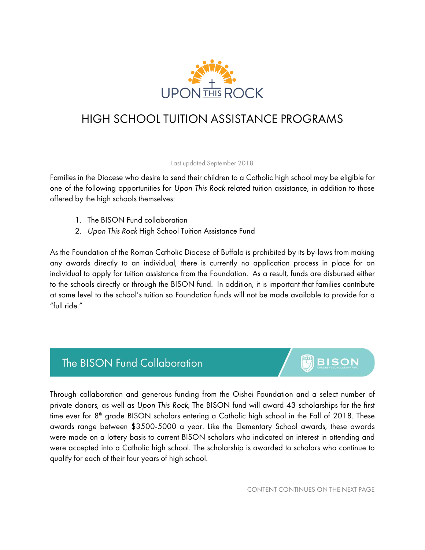

## HIGH SCHOOL TUITION ASSISTANCE PROGRAMS

Last updated September 2018

Families in the Diocese who desire to send their children to a Catholic high school may be eligible for one of the following opportunities for *Upon This Rock* related tuition assistance, in addition to those offered by the high schools themselves:

- 1. The BISON Fund collaboration
- 2. *Upon This Rock* High School Tuition Assistance Fund

As the Foundation of the Roman Catholic Diocese of Buffalo is prohibited by its by-laws from making any awards directly to an individual, there is currently no application process in place for an individual to apply for tuition assistance from the Foundation. As a result, funds are disbursed either to the schools directly or through the BISON fund. In addition, it is important that families contribute at some level to the school's tuition so Foundation funds will not be made available to provide for a "full ride."

## The BISON Fund Collaboration



Through collaboration and generous funding from the Oishei Foundation and a select number of private donors, as well as *Upon This Rock,* The BISON fund will award 43 scholarships for the first time ever for  $8<sup>th</sup>$  grade BISON scholars entering a Catholic high school in the Fall of 2018. These awards range between \$3500-5000 a year. Like the Elementary School awards, these awards were made on a lottery basis to current BISON scholars who indicated an interest in attending and were accepted into a Catholic high school. The scholarship is awarded to scholars who continue to qualify for each of their four years of high school.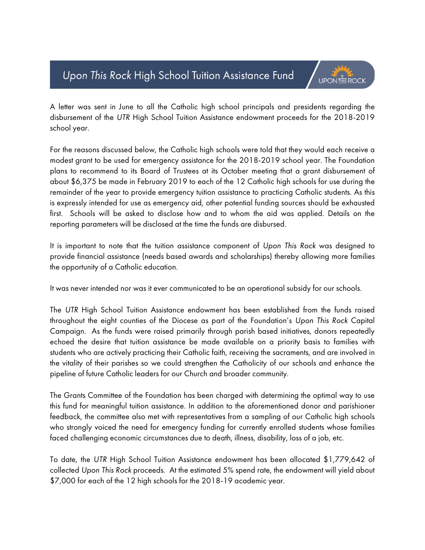## Upon This Rock High School Tuition Assistance Fund



A letter was sent in June to all the Catholic high school principals and presidents regarding the disbursement of the *UTR* High School Tuition Assistance endowment proceeds for the 2018-2019 school year.

For the reasons discussed below, the Catholic high schools were told that they would each receive a modest grant to be used for emergency assistance for the 2018-2019 school year. The Foundation plans to recommend to its Board of Trustees at its October meeting that a grant disbursement of about \$6,375 be made in February 2019 to each of the 12 Catholic high schools for use during the remainder of the year to provide emergency tuition assistance to practicing Catholic students. As this is expressly intended for use as emergency aid, other potential funding sources should be exhausted first. Schools will be asked to disclose how and to whom the aid was applied. Details on the reporting parameters will be disclosed at the time the funds are disbursed.

It is important to note that the tuition assistance component of *Upon This Rock* was designed to provide financial assistance (needs based awards and scholarships) thereby allowing more families the opportunity of a Catholic education.

It was never intended nor was it ever communicated to be an operational subsidy for our schools.

The *UTR* High School Tuition Assistance endowment has been established from the funds raised throughout the eight counties of the Diocese as part of the Foundation's *Upon This Rock* Capital Campaign. As the funds were raised primarily through parish based initiatives, donors repeatedly echoed the desire that tuition assistance be made available on a priority basis to families with students who are actively practicing their Catholic faith, receiving the sacraments, and are involved in the vitality of their parishes so we could strengthen the Catholicity of our schools and enhance the pipeline of future Catholic leaders for our Church and broader community.

The Grants Committee of the Foundation has been charged with determining the optimal way to use this fund for meaningful tuition assistance. In addition to the aforementioned donor and parishioner feedback, the committee also met with representatives from a sampling of our Catholic high schools who strongly voiced the need for emergency funding for currently enrolled students whose families faced challenging economic circumstances due to death, illness, disability, loss of a job, etc.

To date, the *UTR* High School Tuition Assistance endowment has been allocated \$1,779,642 of collected *Upon This Rock* proceeds. At the estimated 5% spend rate, the endowment will yield about \$7,000 for each of the 12 high schools for the 2018-19 academic year.